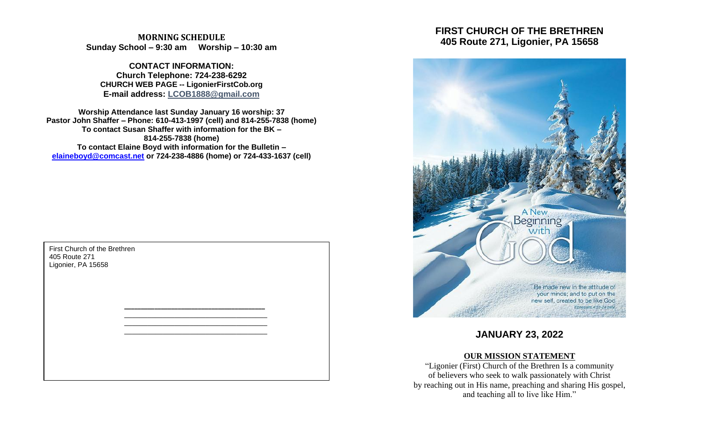**MORNING SCHEDULE Sunday School – 9:30 am Worship – 10:30 am**

**CONTACT INFORMATION: Church Telephone: 724-238-6292 CHURCH WEB PAGE -- LigonierFirstCob.org E-mail address: LCOB1888@gmail.com**

**Worship Attendance last Sunday January 16 worship: 37 Pastor John Shaffer – Phone: 610-413-1997 (cell) and 814-255-7838 (home) To contact Susan Shaffer with information for the BK – 814-255-7838 (home) To contact Elaine Boyd with information for the Bulletin – [elaineboyd@comcast.net](mailto:elaineboyd@comcast.net) or 724-238-4886 (home) or 724-433-1637 (cell)**

> **\_\_\_\_\_\_\_\_\_\_\_\_\_\_\_\_\_\_\_\_\_\_\_\_\_\_\_\_\_\_\_\_\_\_\_\_\_\_\_\_\_\_** \_\_\_\_\_\_\_\_\_\_\_\_\_\_\_\_\_\_\_\_\_\_\_\_\_\_\_\_\_\_\_\_\_\_\_\_\_ \_\_\_\_\_\_\_\_\_\_\_\_\_\_\_\_\_\_\_\_\_\_\_\_\_\_\_\_\_\_\_\_\_\_\_\_\_ \_\_\_\_\_\_\_\_\_\_\_\_\_\_\_\_\_\_\_\_\_\_\_\_\_\_\_\_\_\_\_\_\_\_\_\_\_

First Church of the Brethren 405 Route 271 Ligonier, PA 15658

# **FIRST CHURCH OF THE BRETHREN 405 Route 271, Ligonier, PA 15658**



# **JANUARY 23, 2022**

# **OUR MISSION STATEMENT**

"Ligonier (First) Church of the Brethren Is a community of believers who seek to walk passionately with Christ by reaching out in His name, preaching and sharing His gospel, and teaching all to live like Him."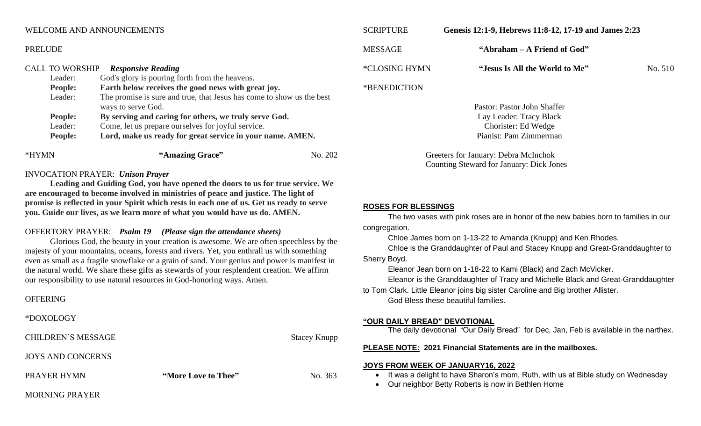#### WELCOME AND ANNOUNCEMENTS

| *HYMN                  |                                                                             | "Amazing Grace"                                                             | No. 202 |
|------------------------|-----------------------------------------------------------------------------|-----------------------------------------------------------------------------|---------|
|                        | Lord, make us ready for great service in your name. AMEN.<br><b>People:</b> |                                                                             |         |
|                        | Leader:                                                                     | Come, let us prepare ourselves for joyful service.                          |         |
|                        | People:                                                                     | ways to serve God.<br>By serving and caring for others, we truly serve God. |         |
|                        | Leader:                                                                     | The promise is sure and true, that Jesus has come to show us the best       |         |
|                        | People:                                                                     | Earth below receives the good news with great joy.                          |         |
|                        | Leader:                                                                     | God's glory is pouring forth from the heavens.                              |         |
| <b>CALL TO WORSHIP</b> |                                                                             | <b>Responsive Reading</b>                                                   |         |

#### INVOCATION PRAYER: *Unison Prayer*

**Leading and Guiding God, you have opened the doors to us for true service. We are encouraged to become involved in ministries of peace and justice. The light of promise is reflected in your Spirit which rests in each one of us. Get us ready to serve you. Guide our lives, as we learn more of what you would have us do. AMEN.**

# OFFERTORY PRAYER: *Psalm 19 (Please sign the attendance sheets)*

Glorious God, the beauty in your creation is awesome. We are often speechless by the majesty of your mountains, oceans, forests and rivers. Yet, you enthrall us with something even as small as a fragile snowflake or a grain of sand. Your genius and power is manifest in the natural world. We share these gifts as stewards of your resplendent creation. We affirm our responsibility to use natural resources in God-honoring ways. Amen.

#### **OFFERING**

PRELUDE

\*DOXOLOGY

CHILDREN'S MESSAGE Stacey Knupp

JOYS AND CONCERNS

PRAYER HYMN **"More Love to Thee"** No. 363

MESSAGE **"Abraham – A Friend of God"** \*CLOSING HYMN **"Jesus Is All the World to Me"** No. 510

SCRIPTURE **Genesis 12:1-9, Hebrews 11:8-12, 17-19 and James 2:23** 

\*BENEDICTION

Pastor: Pastor John Shaffer Lay Leader: Tracy Black Chorister: Ed Wedge Pianist: Pam Zimmerman

Greeters for January: Debra McInchok Counting Steward for January: Dick Jones

#### **ROSES FOR BLESSINGS**

The two vases with pink roses are in honor of the new babies born to families in our congregation.

Chloe James born on 1-13-22 to Amanda (Knupp) and Ken Rhodes.

Chloe is the Granddaughter of Paul and Stacey Knupp and Great-Granddaughter to Sherry Boyd.

Eleanor Jean born on 1-18-22 to Kami (Black) and Zach McVicker.

Eleanor is the Granddaughter of Tracy and Michelle Black and Great-Granddaughter

to Tom Clark. Little Eleanor joins big sister Caroline and Big brother Allister. God Bless these beautiful families.

#### **"OUR DAILY BREAD" DEVOTIONAL**

The daily devotional "Our Daily Bread" for Dec, Jan, Feb is available in the narthex.

#### **PLEASE NOTE: 2021 Financial Statements are in the mailboxes.**

#### **JOYS FROM WEEK OF JANUARY16, 2022**

- It was a delight to have Sharon's mom, Ruth, with us at Bible study on Wednesday
- Our neighbor Betty Roberts is now in Bethlen Home

MORNING PRAYER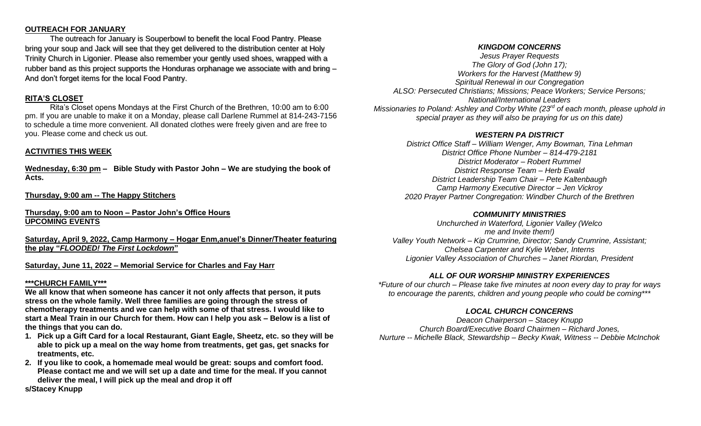#### **OUTREACH FOR JANUARY**

The outreach for January is Souperbowl to benefit the local Food Pantry. Please bring your soup and Jack will see that they get delivered to the distribution center at Holy Trinity Church in Ligonier. Please also remember your gently used shoes, wrapped with a rubber band as this project supports the Honduras orphanage we associate with and bring – And don't forget items for the local Food Pantry.

## **RITA'S CLOSET**

Rita's Closet opens Mondays at the First Church of the Brethren, 10:00 am to 6:00 pm. If you are unable to make it on a Monday, please call Darlene Rummel at 814-243-7156 to schedule a time more convenient. All donated clothes were freely given and are free to you. Please come and check us out.

# **ACTIVITIES THIS WEEK**

**Wednesday, 6:30 pm – Bible Study with Pastor John – We are studying the book of Acts.**

**Thursday, 9:00 am -- The Happy Stitchers** 

#### **Thursday, 9:00 am to Noon – Pastor John's Office Hours UPCOMING EVENTS**

**Saturday, April 9, 2022, Camp Harmony – Hogar Enm,anuel's Dinner/Theater featuring the play "***FLOODED! The First Lockdown***"**

### **Saturday, June 11, 2022 – Memorial Service for Charles and Fay Harr**

#### **\*\*\*CHURCH FAMILY\*\*\***

**We all know that when someone has cancer it not only affects that person, it puts stress on the whole family. Well three families are going through the stress of chemotherapy treatments and we can help with some of that stress. I would like to start a Meal Train in our Church for them. How can I help you ask – Below is a list of the things that you can do.**

- **1. Pick up a Gift Card for a local Restaurant, Giant Eagle, Sheetz, etc. so they will be able to pick up a meal on the way home from treatments, get gas, get snacks for treatments, etc.**
- **2. If you like to cook, a homemade meal would be great: soups and comfort food. Please contact me and we will set up a date and time for the meal. If you cannot deliver the meal, I will pick up the meal and drop it off**

*KINGDOM CONCERNS*

*Jesus Prayer Requests The Glory of God (John 17); Workers for the Harvest (Matthew 9) Spiritual Renewal in our Congregation ALSO: Persecuted Christians; Missions; Peace Workers; Service Persons; National/International Leaders Missionaries to Poland: Ashley and Corby White (23rd of each month, please uphold in special prayer as they will also be praying for us on this date)*

# *WESTERN PA DISTRICT*

*District Office Staff – William Wenger, Amy Bowman, Tina Lehman District Office Phone Number – 814-479-2181 District Moderator – Robert Rummel District Response Team – Herb Ewald District Leadership Team Chair – Pete Kaltenbaugh Camp Harmony Executive Director – Jen Vickroy 2020 Prayer Partner Congregation: Windber Church of the Brethren*

### *COMMUNITY MINISTRIES*

*Unchurched in Waterford, Ligonier Valley (Welco me and Invite them!) Valley Youth Network – Kip Crumrine, Director; Sandy Crumrine, Assistant; Chelsea Carpenter and Kylie Weber, Interns Ligonier Valley Association of Churches – Janet Riordan, President*

# *ALL OF OUR WORSHIP MINISTRY EXPERIENCES*

*\*Future of our church – Please take five minutes at noon every day to pray for ways to encourage the parents, children and young people who could be coming\*\*\**

# *LOCAL CHURCH CONCERNS*

*Deacon Chairperson – Stacey Knupp Church Board/Executive Board Chairmen – Richard Jones, Nurture -- Michelle Black, Stewardship – Becky Kwak, Witness -- Debbie McInchok*

**s/Stacey Knupp**